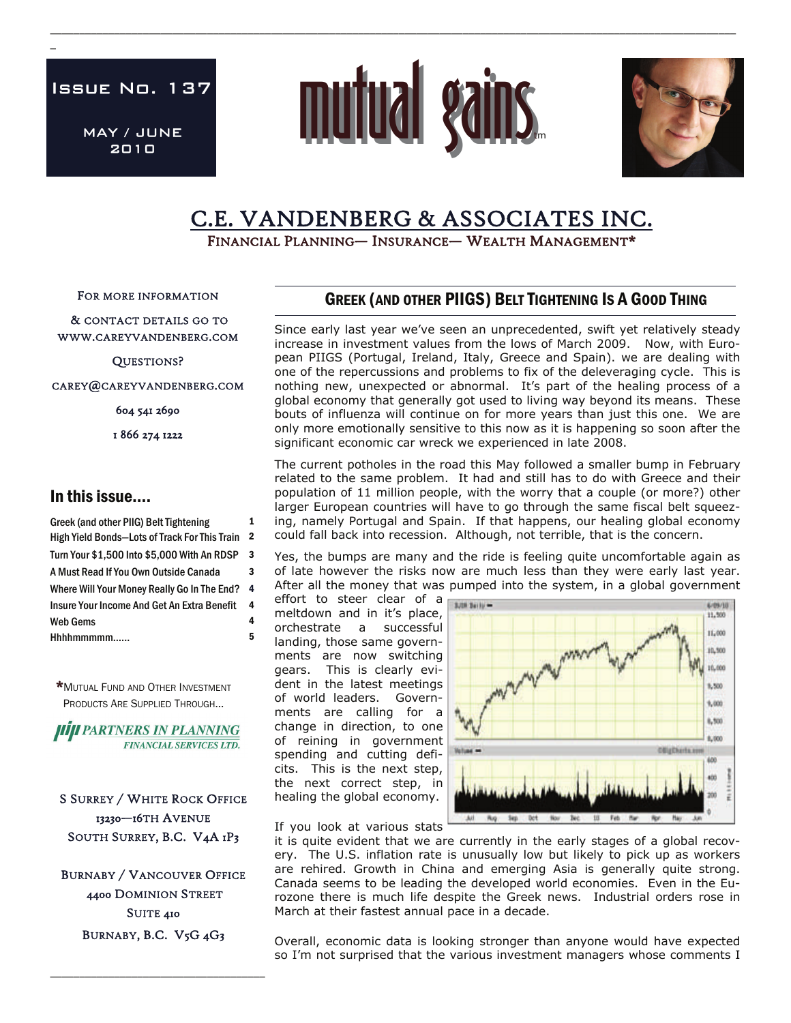Issue No. 137

 $\overline{a}$ 

MAY / JUNE 2010



\_\_\_\_\_\_\_\_\_\_\_\_\_\_\_\_\_\_\_\_\_\_\_\_\_\_\_\_\_\_\_\_\_\_\_\_\_\_\_\_\_\_\_\_\_\_\_\_\_\_\_\_\_\_\_\_\_\_\_\_\_\_\_\_\_\_\_\_\_\_\_\_\_\_\_\_\_\_\_\_\_\_\_\_\_\_\_\_\_\_\_\_\_\_\_\_\_\_\_\_\_\_\_\_\_\_\_\_\_\_\_\_\_\_\_\_\_\_



# C.E. VANDENBERG & ASSOCIATES INC.<br>FINANCIAL PLANNING— INSURANCE— WEALTH MANAGEMENT\*

FOR MORE INFORMATION

 & CONTACT DETAILS GO TO WWW.CAREYVANDENBERG.COM

QUESTIONS?

CAREY@CAREYVANDENBERG.COM

604 541 2690

1 866 274 1222

## In this issue….

Greek (and other PIIG) Belt Tightening 1 High Yield Bonds-Lots of Track For This Train 2 Turn Your \$1,500 Into \$5,000 With An RDSP 3 A Must Read If You Own Outside Canada 3 Hhhhmmmmm…... 5 Where Will Your Money Really Go In The End? 4 Web Gems 4 Insure Your Income And Get An Extra Benefit 4

\*MUTUAL FUND AND OTHER INVESTMENT PRODUCTS ARE SUPPLIED THROUGH...

**HIJI PARTNERS IN PLANNING FINANCIAL SERVICES LTD.** 

S SURREY / WHITE ROCK OFFICE 13230—16TH AVENUE SOUTH SURREY, B.C. V4A 1P3

BURNABY / VANCOUVER OFFICE 4400 DOMINION STREET SUITE 410 BURNABY, B.C. V5G 4G3

\_\_\_\_\_\_\_\_\_\_\_\_\_\_\_\_\_\_\_\_\_\_\_\_\_\_\_\_\_\_\_\_\_\_\_\_\_

# GREEK (AND OTHER PIIGS) BELT TIGHTENING IS A GOOD THING

Since early last year we've seen an unprecedented, swift yet relatively steady increase in investment values from the lows of March 2009. Now, with European PIIGS (Portugal, Ireland, Italy, Greece and Spain). we are dealing with one of the repercussions and problems to fix of the deleveraging cycle. This is nothing new, unexpected or abnormal. It's part of the healing process of a global economy that generally got used to living way beyond its means. These bouts of influenza will continue on for more years than just this one. We are only more emotionally sensitive to this now as it is happening so soon after the significant economic car wreck we experienced in late 2008.

The current potholes in the road this May followed a smaller bump in February related to the same problem. It had and still has to do with Greece and their population of 11 million people, with the worry that a couple (or more?) other larger European countries will have to go through the same fiscal belt squeezing, namely Portugal and Spain. If that happens, our healing global economy could fall back into recession. Although, not terrible, that is the concern.

Yes, the bumps are many and the ride is feeling quite uncomfortable again as of late however the risks now are much less than they were early last year. After all the money that was pumped into the system, in a global government

effort to steer clear of a meltdown and in it's place, orchestrate a successful landing, those same governments are now switching gears. This is clearly evident in the latest meetings of world leaders. Governments are calling for a change in direction, to one of reining in government spending and cutting deficits. This is the next step, the next correct step, in healing the global economy.



If you look at various stats

it is quite evident that we are currently in the early stages of a global recovery. The U.S. inflation rate is unusually low but likely to pick up as workers are rehired. Growth in China and emerging Asia is generally quite strong. Canada seems to be leading the developed world economies. Even in the Eurozone there is much life despite the Greek news. Industrial orders rose in March at their fastest annual pace in a decade.

Overall, economic data is looking stronger than anyone would have expected so I'm not surprised that the various investment managers whose comments I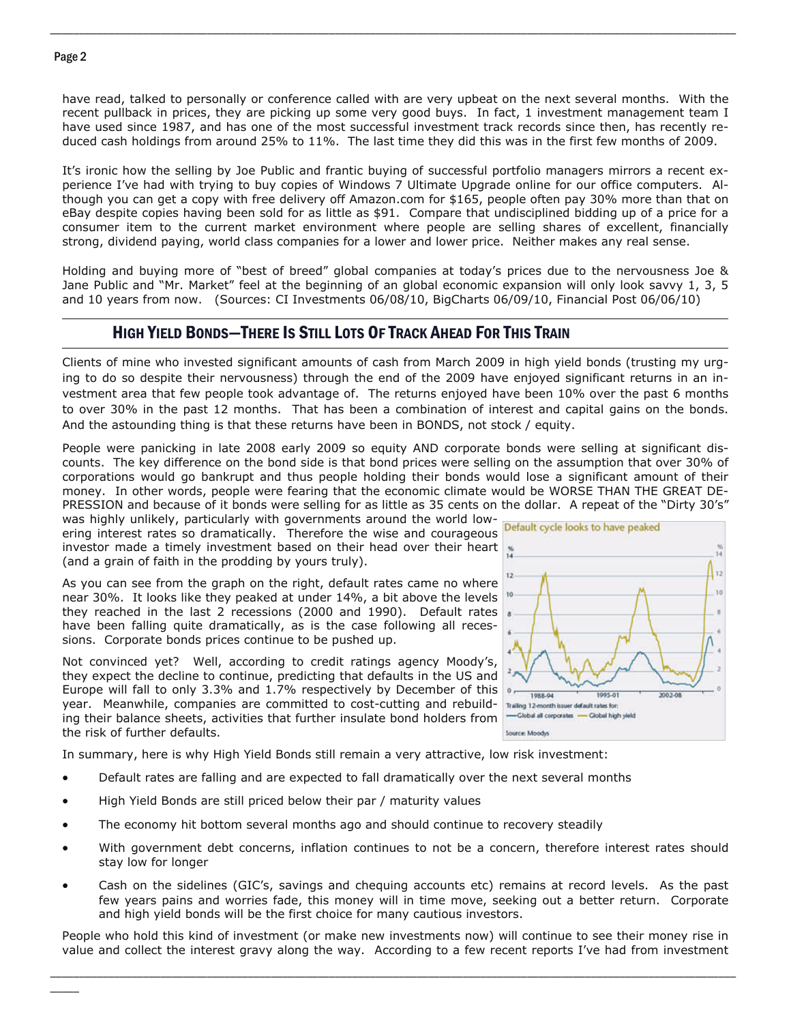#### Page 2

have read, talked to personally or conference called with are very upbeat on the next several months. With the recent pullback in prices, they are picking up some very good buys. In fact, 1 investment management team I have used since 1987, and has one of the most successful investment track records since then, has recently reduced cash holdings from around 25% to 11%. The last time they did this was in the first few months of 2009.

\_\_\_\_\_\_\_\_\_\_\_\_\_\_\_\_\_\_\_\_\_\_\_\_\_\_\_\_\_\_\_\_\_\_\_\_\_\_\_\_\_\_\_\_\_\_\_\_\_\_\_\_\_\_\_\_\_\_\_\_\_\_\_\_\_\_\_\_\_\_\_\_\_\_\_\_\_\_\_\_\_\_\_\_\_\_\_\_\_\_\_\_\_\_\_\_\_\_\_\_\_\_\_\_\_\_\_\_\_\_\_\_\_\_\_\_\_\_

It's ironic how the selling by Joe Public and frantic buying of successful portfolio managers mirrors a recent experience I've had with trying to buy copies of Windows 7 Ultimate Upgrade online for our office computers. Although you can get a copy with free delivery off Amazon.com for \$165, people often pay 30% more than that on eBay despite copies having been sold for as little as \$91. Compare that undisciplined bidding up of a price for a consumer item to the current market environment where people are selling shares of excellent, financially strong, dividend paying, world class companies for a lower and lower price. Neither makes any real sense.

Holding and buying more of "best of breed" global companies at today's prices due to the nervousness Joe & Jane Public and "Mr. Market" feel at the beginning of an global economic expansion will only look savvy 1, 3, 5 and 10 years from now. (Sources: CI Investments 06/08/10, BigCharts 06/09/10, Financial Post 06/06/10)

## HIGH YIELD BONDS—THERE IS STILL LOTS OF TRACK AHEAD FOR THIS TRAIN

Clients of mine who invested significant amounts of cash from March 2009 in high yield bonds (trusting my urging to do so despite their nervousness) through the end of the 2009 have enjoyed significant returns in an investment area that few people took advantage of. The returns enjoyed have been 10% over the past 6 months to over 30% in the past 12 months. That has been a combination of interest and capital gains on the bonds. And the astounding thing is that these returns have been in BONDS, not stock / equity.

People were panicking in late 2008 early 2009 so equity AND corporate bonds were selling at significant discounts. The key difference on the bond side is that bond prices were selling on the assumption that over 30% of corporations would go bankrupt and thus people holding their bonds would lose a significant amount of their money. In other words, people were fearing that the economic climate would be WORSE THAN THE GREAT DE-PRESSION and because of it bonds were selling for as little as 35 cents on the dollar. A repeat of the "Dirty 30's"

was highly unlikely, particularly with governments around the world lowering interest rates so dramatically. Therefore the wise and courageous Default cycle looks to have peaked investor made a timely investment based on their head over their heart (and a grain of faith in the prodding by yours truly).

As you can see from the graph on the right, default rates came no where near 30%. It looks like they peaked at under 14%, a bit above the levels they reached in the last 2 recessions (2000 and 1990). Default rates have been falling quite dramatically, as is the case following all recessions. Corporate bonds prices continue to be pushed up.

Not convinced yet? Well, according to credit ratings agency Moody's, they expect the decline to continue, predicting that defaults in the US and Europe will fall to only 3.3% and 1.7% respectively by December of this year. Meanwhile, companies are committed to cost-cutting and rebuilding their balance sheets, activities that further insulate bond holders from the risk of further defaults.



In summary, here is why High Yield Bonds still remain a very attractive, low risk investment:

- Default rates are falling and are expected to fall dramatically over the next several months
- High Yield Bonds are still priced below their par / maturity values
- The economy hit bottom several months ago and should continue to recovery steadily
- With government debt concerns, inflation continues to not be a concern, therefore interest rates should stay low for longer
- Cash on the sidelines (GIC's, savings and chequing accounts etc) remains at record levels. As the past few years pains and worries fade, this money will in time move, seeking out a better return. Corporate and high yield bonds will be the first choice for many cautious investors.

People who hold this kind of investment (or make new investments now) will continue to see their money rise in value and collect the interest gravy along the way. According to a few recent reports I've had from investment

\_\_\_\_\_\_\_\_\_\_\_\_\_\_\_\_\_\_\_\_\_\_\_\_\_\_\_\_\_\_\_\_\_\_\_\_\_\_\_\_\_\_\_\_\_\_\_\_\_\_\_\_\_\_\_\_\_\_\_\_\_\_\_\_\_\_\_\_\_\_\_\_\_\_\_\_\_\_\_\_\_\_\_\_\_\_\_\_\_\_\_\_\_\_\_\_\_\_\_\_\_\_\_\_\_\_\_\_\_\_\_\_\_\_\_\_\_\_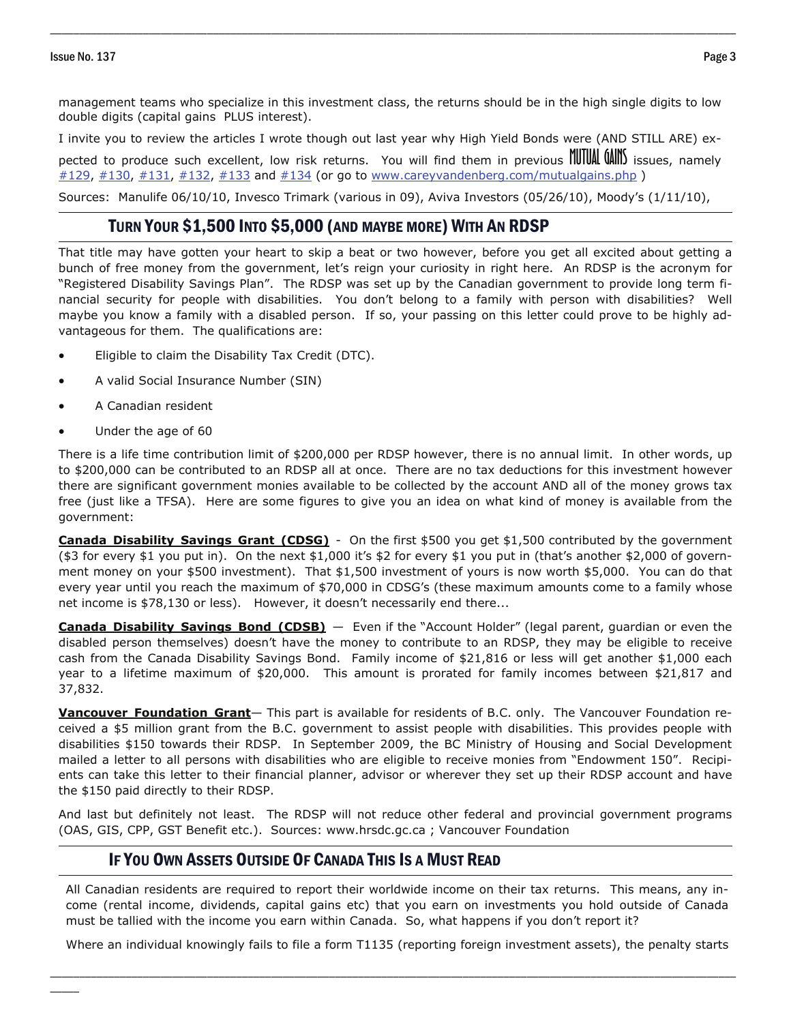management teams who specialize in this investment class, the returns should be in the high single digits to low double digits (capital gains PLUS interest).

\_\_\_\_\_\_\_\_\_\_\_\_\_\_\_\_\_\_\_\_\_\_\_\_\_\_\_\_\_\_\_\_\_\_\_\_\_\_\_\_\_\_\_\_\_\_\_\_\_\_\_\_\_\_\_\_\_\_\_\_\_\_\_\_\_\_\_\_\_\_\_\_\_\_\_\_\_\_\_\_\_\_\_\_\_\_\_\_\_\_\_\_\_\_\_\_\_\_\_\_\_\_\_\_\_\_\_\_\_\_\_\_\_\_\_\_\_\_

I invite you to review the articles I wrote though out last year why High Yield Bonds were (AND STILL ARE) ex-

pected to produce such excellent, low risk returns. You will find them in previous **MUTUAL GAINS** issues, namely  $#129, #130, #131, #132, #133$  $#129, #130, #131, #132, #133$  $#129, #130, #131, #132, #133$  $#129, #130, #131, #132, #133$  $#129, #130, #131, #132, #133$  $#129, #130, #131, #132, #133$  $#129, #130, #131, #132, #133$  and  $#134$  (or go to www.careyvandenberg.com/mutualgains.php)

Sources: Manulife 06/10/10, Invesco Trimark (various in 09), Aviva Investors (05/26/10), Moody's (1/11/10),

# TURN YOUR \$1,500 INTO \$5,000 (AND MAYBE MORE) WITH AN RDSP

That title may have gotten your heart to skip a beat or two however, before you get all excited about getting a bunch of free money from the government, let's reign your curiosity in right here. An RDSP is the acronym for "Registered Disability Savings Plan". The RDSP was set up by the Canadian government to provide long term financial security for people with disabilities. You don't belong to a family with person with disabilities? Well maybe you know a family with a disabled person. If so, your passing on this letter could prove to be highly advantageous for them. The qualifications are:

- Eligible to claim the Disability Tax Credit (DTC).
- A valid Social Insurance Number (SIN)
- A Canadian resident
- Under the age of 60

 $\overline{\phantom{a}}$ 

There is a life time contribution limit of \$200,000 per RDSP however, there is no annual limit. In other words, up to \$200,000 can be contributed to an RDSP all at once. There are no tax deductions for this investment however there are significant government monies available to be collected by the account AND all of the money grows tax free (just like a TFSA). Here are some figures to give you an idea on what kind of money is available from the government:

**Canada Disability Savings Grant (CDSG)** - On the first \$500 you get \$1,500 contributed by the government (\$3 for every \$1 you put in). On the next \$1,000 it's \$2 for every \$1 you put in (that's another \$2,000 of government money on your \$500 investment). That \$1,500 investment of yours is now worth \$5,000. You can do that every year until you reach the maximum of \$70,000 in CDSG's (these maximum amounts come to a family whose net income is \$78,130 or less). However, it doesn't necessarily end there...

**Canada Disability Savings Bond (CDSB)** — Even if the "Account Holder" (legal parent, guardian or even the disabled person themselves) doesn't have the money to contribute to an RDSP, they may be eligible to receive cash from the Canada Disability Savings Bond. Family income of \$21,816 or less will get another \$1,000 each year to a lifetime maximum of \$20,000. This amount is prorated for family incomes between \$21,817 and 37,832.

**Vancouver Foundation Grant**— This part is available for residents of B.C. only. The Vancouver Foundation received a \$5 million grant from the B.C. government to assist people with disabilities. This provides people with disabilities \$150 towards their RDSP. In September 2009, the BC Ministry of Housing and Social Development mailed a letter to all persons with disabilities who are eligible to receive monies from "Endowment 150". Recipients can take this letter to their financial planner, advisor or wherever they set up their RDSP account and have the \$150 paid directly to their RDSP.

And last but definitely not least. The RDSP will not reduce other federal and provincial government programs (OAS, GIS, CPP, GST Benefit etc.). Sources: www.hrsdc.gc.ca ; Vancouver Foundation

## IF YOU OWN ASSETS OUTSIDE OF CANADA THIS IS A MUST READ

All Canadian residents are required to report their worldwide income on their tax returns. This means, any income (rental income, dividends, capital gains etc) that you earn on investments you hold outside of Canada must be tallied with the income you earn within Canada. So, what happens if you don't report it?

Where an individual knowingly fails to file a form T1135 (reporting foreign investment assets), the penalty starts

\_\_\_\_\_\_\_\_\_\_\_\_\_\_\_\_\_\_\_\_\_\_\_\_\_\_\_\_\_\_\_\_\_\_\_\_\_\_\_\_\_\_\_\_\_\_\_\_\_\_\_\_\_\_\_\_\_\_\_\_\_\_\_\_\_\_\_\_\_\_\_\_\_\_\_\_\_\_\_\_\_\_\_\_\_\_\_\_\_\_\_\_\_\_\_\_\_\_\_\_\_\_\_\_\_\_\_\_\_\_\_\_\_\_\_\_\_\_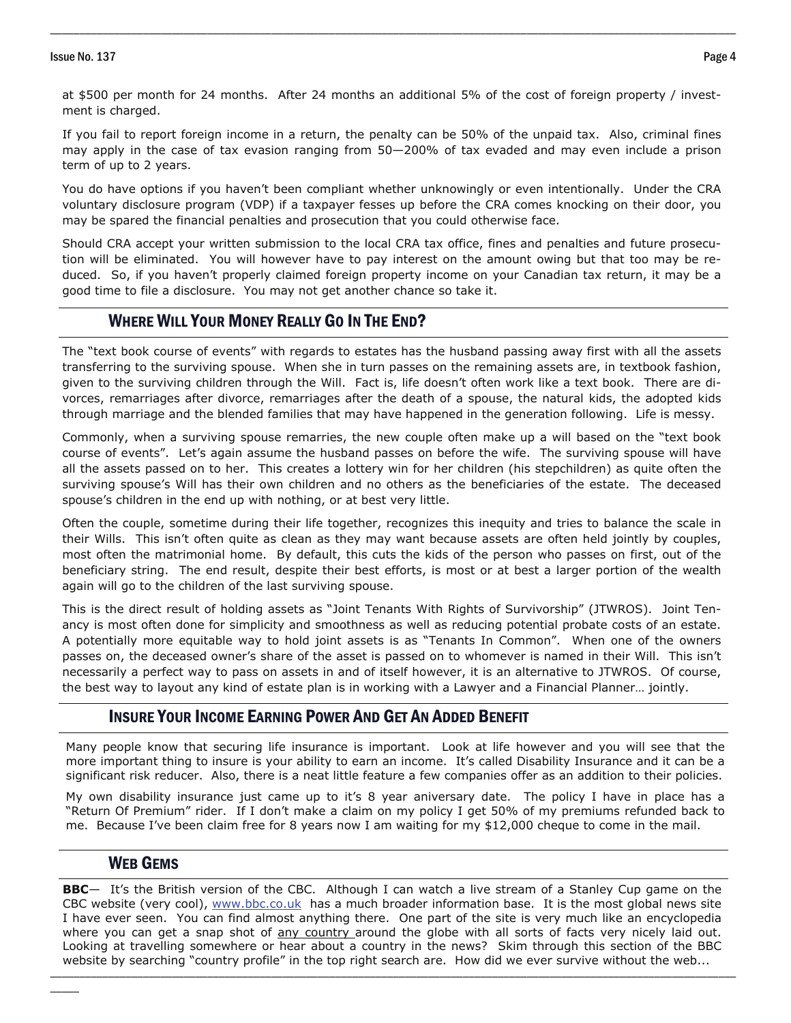#### Issue No. 137 Page 4

at \$500 per month for 24 months. After 24 months an additional 5% of the cost of foreign property / investment is charged.

\_\_\_\_\_\_\_\_\_\_\_\_\_\_\_\_\_\_\_\_\_\_\_\_\_\_\_\_\_\_\_\_\_\_\_\_\_\_\_\_\_\_\_\_\_\_\_\_\_\_\_\_\_\_\_\_\_\_\_\_\_\_\_\_\_\_\_\_\_\_\_\_\_\_\_\_\_\_\_\_\_\_\_\_\_\_\_\_\_\_\_\_\_\_\_\_\_\_\_\_\_\_\_\_\_\_\_\_\_\_\_\_\_\_\_\_\_\_

If you fail to report foreign income in a return, the penalty can be 50% of the unpaid tax. Also, criminal fines may apply in the case of tax evasion ranging from 50—200% of tax evaded and may even include a prison term of up to 2 years.

You do have options if you haven't been compliant whether unknowingly or even intentionally. Under the CRA voluntary disclosure program (VDP) if a taxpayer fesses up before the CRA comes knocking on their door, you may be spared the financial penalties and prosecution that you could otherwise face.

Should CRA accept your written submission to the local CRA tax office, fines and penalties and future prosecution will be eliminated. You will however have to pay interest on the amount owing but that too may be reduced. So, if you haven't properly claimed foreign property income on your Canadian tax return, it may be a good time to file a disclosure. You may not get another chance so take it.

## WHERE WILL YOUR MONEY REALLY GO IN THE END?

given to the surviving children through the Will. Fact is, life doesn't often work like a text book. There are di-The "text book course of events" with regards to estates has the husband passing away first with all the assets transferring to the surviving spouse. When she in turn passes on the remaining assets are, in textbook fashion, vorces, remarriages after divorce, remarriages after the death of a spouse, the natural kids, the adopted kids through marriage and the blended families that may have happened in the generation following. Life is messy.

Commonly, when a surviving spouse remarries, the new couple often make up a will based on the "text book course of events". Let's again assume the husband passes on before the wife. The surviving spouse will have all the assets passed on to her. This creates a lottery win for her children (his stepchildren) as quite often the surviving spouse's Will has their own children and no others as the beneficiaries of the estate. The deceased spouse's children in the end up with nothing, or at best very little.

Often the couple, sometime during their life together, recognizes this inequity and tries to balance the scale in their Wills. This isn't often quite as clean as they may want because assets are often held jointly by couples, most often the matrimonial home. By default, this cuts the kids of the person who passes on first, out of the beneficiary string. The end result, despite their best efforts, is most or at best a larger portion of the wealth again will go to the children of the last surviving spouse.

This is the direct result of holding assets as "Joint Tenants With Rights of Survivorship" (JTWROS). Joint Tenancy is most often done for simplicity and smoothness as well as reducing potential probate costs of an estate. A potentially more equitable way to hold joint assets is as "Tenants In Common". When one of the owners passes on, the deceased owner's share of the asset is passed on to whomever is named in their Will. This isn't necessarily a perfect way to pass on assets in and of itself however, it is an alternative to JTWROS. Of course, the best way to layout any kind of estate plan is in working with a Lawyer and a Financial Planner… jointly.

## INSURE YOUR INCOME EARNING POWER AND GET AN ADDED BENEFIT

Many people know that securing life insurance is important. Look at life however and you will see that the more important thing to insure is your ability to earn an income. It's called Disability Insurance and it can be a significant risk reducer. Also, there is a neat little feature a few companies offer as an addition to their policies.

My own disability insurance just came up to it's 8 year aniversary date. The policy I have in place has a "Return Of Premium" rider. If I don't make a claim on my policy I get 50% of my premiums refunded back to me. Because I've been claim free for 8 years now I am waiting for my \$12,000 cheque to come in the mail.

### WEB GEMS

 $\overline{\phantom{a}}$ 

\_\_\_\_\_\_\_\_\_\_\_\_\_\_\_\_\_\_\_\_\_\_\_\_\_\_\_\_\_\_\_\_\_\_\_\_\_\_\_\_\_\_\_\_\_\_\_\_\_\_\_\_\_\_\_\_\_\_\_\_\_\_\_\_\_\_\_\_\_\_\_\_\_\_\_\_\_\_\_\_\_\_\_\_\_\_\_\_\_\_\_\_\_\_\_\_\_\_\_\_\_\_\_\_\_\_\_\_\_\_\_\_\_\_\_\_\_\_ **BBC**— It's the British version of the CBC. Although I can watch a live stream of a Stanley Cup game on the CBC website (very cool), [www.bbc.co.uk](http://news.bbc.co.uk/) has a much broader information base. It is the most global news site I have ever seen. You can find almost anything there. One part of the site is very much like an encyclopedia where you can get a snap shot of any country around the globe with all sorts of facts very nicely laid out. Looking at travelling somewhere or hear about a country in the news? Skim through this section of the BBC website by searching "country profile" in the top right search are. How did we ever survive without the web...